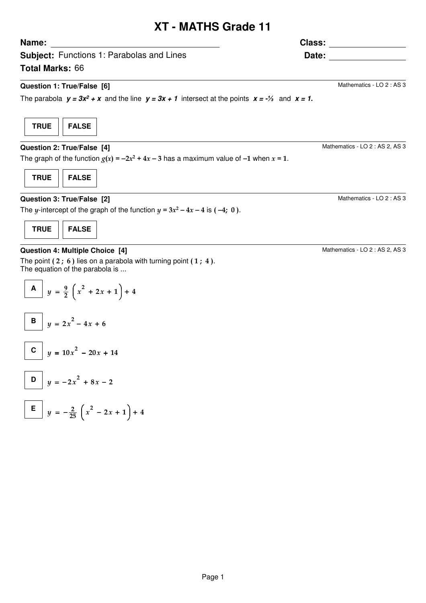## **XT - MATHS Grade 11**

**Subject:** Functions 1: Parabolas and Lines **Total Marks:** 66 **Name: Date: Class: Question 1: True/False [6]** The parabola  $y = 3x^2 + x$  and the line  $y = 3x + 1$  intersect at the points  $x = -\frac{1}{3}$  and  $x = 1$ . Mathematics - LO 2 : AS 3 **TRUE FALSE Question 2: True/False [4]** The graph of the function  $g(x) = -2x^2 + 4x - 3$  has a maximum value of -1 when  $x = 1$ . Mathematics - LO 2 : AS 2, AS 3 **TRUE FALSE Question 3: True/False [2]** The y-intercept of the graph of the function  $y = 3x^2 - 4x - 4$  is (-4; 0). Mathematics - LO 2 : AS 3

**Question 4: Multiple Choice [4]**

**TRUE FALSE**

The point  $(2; 6)$  lies on a parabola with turning point  $(1; 4)$ . The equation of the parabola is ...

$$
\boxed{\mathbf{A}} \quad y = \frac{9}{2} \left( x^2 + 2x + 1 \right) + 4
$$

$$
\begin{array}{|c|c|}\n\hline\nB & y = 2x^2 - 4x + 6 \\
\hline\n\end{array}
$$

$$
C \mid y = 10x^2 - 20x + 14
$$

$$
\begin{array}{|c|c|}\hline \mathbf{D} & y = -2x^2 + 8x - 2 \\ \hline \end{array}
$$

$$
\boxed{\mathsf{E}}\, y = -\frac{2}{25} \left( x^2 - 2x + 1 \right) + 4
$$

Mathematics - LO 2 : AS 2, AS 3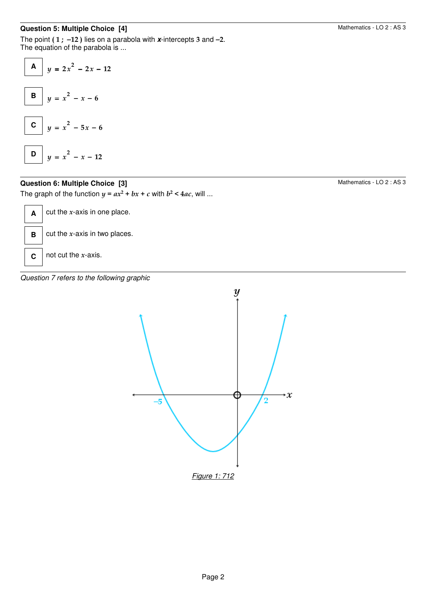## **Question 5: Multiple Choice [4]**

The point ( 1 ; −12 ) lies on a parabola with **x**-intercepts 3 and −2. The equation of the parabola is ...

| A | $y = 2x^2 - 2x - 12$ |
|---|----------------------|
| B | $y = x^2 - x - 6$    |
| C | $y = x^2 - 5x - 6$   |
| D | $y = x^2 - x - 12$   |

## **Question 6: Multiple Choice [3]**

The graph of the function  $y = ax^2 + bx + c$  with  $b^2 < 4ac$ , will ...

 $\mathbf{A}$  cut the *x*-axis in one place. **B** cut the *x*-axis in two places. **C**  $\int$  not cut the *x*-axis.

Question 7 refers to the following graphic



# Mathematics - LO 2 : AS 3

Mathematics - LO 2 : AS 3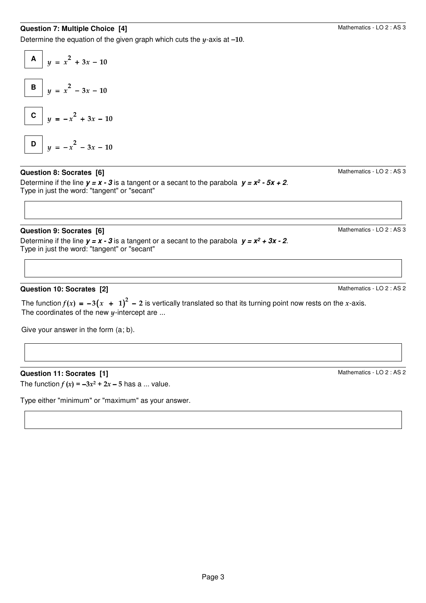## **Question 7: Multiple Choice [4]**

Determine the equation of the given graph which cuts the  $y$ -axis at  $-10$ .



#### **Question 8: Socrates [6]**

Determine if the line  $y = x - 3$  is a tangent or a secant to the parabola  $y = x^2 - 5x + 2$ . Type in just the word: "tangent" or "secant"

#### **Question 9: Socrates [6]**

Determine if the line  $y = x - 3$  is a tangent or a secant to the parabola  $y = x^2 + 3x - 2$ . Type in just the word: "tangent" or "secant"

#### **Question 10: Socrates [2]**

The function  $f(x) = -3(x + 1)^2 - 2$  is vertically translated so that its turning point now rests on the x-axis. The coordinates of the new  $y$ -intercept are ...

Give your answer in the form (a; b).

#### **Question 11: Socrates [1]**

The function  $f(x) = -3x^2 + 2x - 5$  has a ... value.

Type either "minimum" or "maximum" as your answer.

Mathematics - LO 2 : AS 3

Mathematics - LO 2 : AS 3

Mathematics - LO 2 : AS 2

Mathematics - LO 2 : AS 2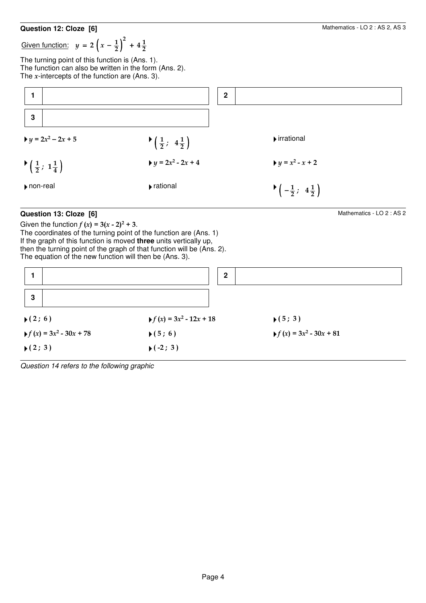#### **Question 12: Cloze [6]**

Given function:  $y = 2\left(x - \frac{1}{2}\right)^2 + 4\frac{1}{2}$ 

The turning point of this function is (Ans. 1). The function can also be written in the form (Ans. 2). The  $x$ -intercepts of the function are (Ans. 3).



## **Question 13: Cloze [6]**

Given the function  $f(x) = 3(x - 2)^2 + 3$ . The coordinates of the turning point of the function are (Ans. 1) If the graph of this function is moved **three** units vertically up, then the turning point of the graph of that function will be (Ans. 2). The equation of the new function will then be (Ans. 3).

|                                                          | $\mathbf{2}$                                             |                                                          |
|----------------------------------------------------------|----------------------------------------------------------|----------------------------------------------------------|
| $\mathbf{3}$                                             |                                                          |                                                          |
| $\blacktriangleright$ (2; 6)                             | $\blacktriangleright$ f (x) = 3x <sup>2</sup> - 12x + 18 | $\blacktriangleright$ (5; 3)                             |
| $\blacktriangleright$ f (x) = 3x <sup>2</sup> - 30x + 78 | $\blacktriangleright$ (5; 6)                             | $\blacktriangleright$ f (x) = 3x <sup>2</sup> - 30x + 81 |
| $\blacktriangleright$ (2; 3)                             | $\blacktriangleright$ (-2; 3)                            |                                                          |

Question 14 refers to the following graphic